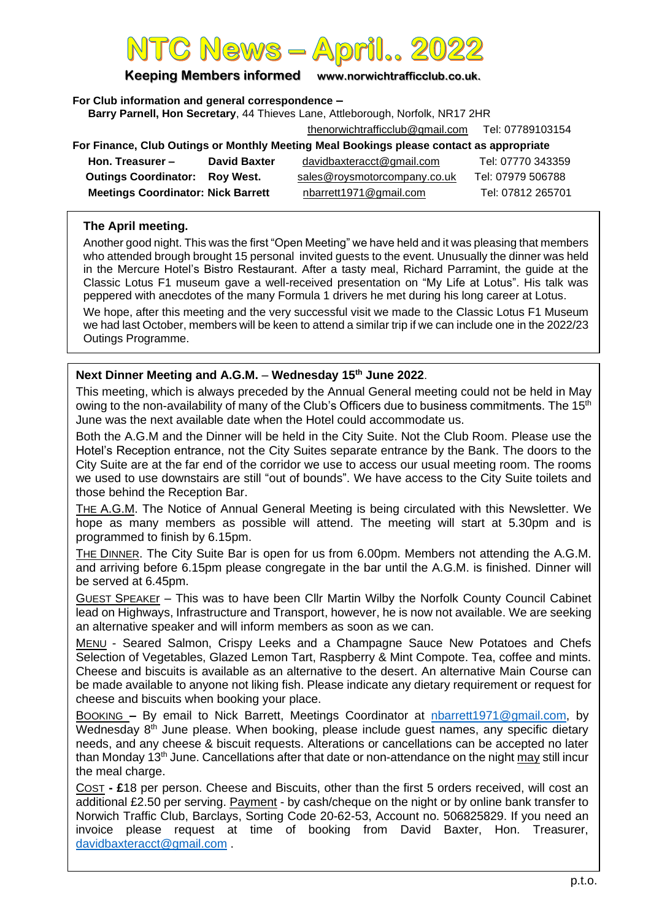# $\overline{C}$  News  $=\overline{A}$

**Keeping Members informed www.norwichtrafficclub.co.uk.**

**For Club information and general correspondence –**

**Barry Parnell, Hon Secretary**, 44 Thieves Lane, Attleborough, Norfolk, NR17 2HR

[thenorwichtrafficclub@gmail.com](mailto:thenorwichtrafficclub@gmail.com) Tel: 07789103154

| For Finance, Club Outings or Monthly Meeting Meal Bookings please contact as appropriate |                     |                              |                   |  |
|------------------------------------------------------------------------------------------|---------------------|------------------------------|-------------------|--|
| Hon. Treasurer -                                                                         | <b>David Baxter</b> | davidbaxteracct@gmail.com    | Tel: 07770 343359 |  |
| <b>Outings Coordinator: Roy West.</b>                                                    |                     | sales@roysmotorcompany.co.uk | Tel: 07979 506788 |  |
| <b>Meetings Coordinator: Nick Barrett</b>                                                |                     | nbarrett1971@gmail.com       | Tel: 07812 265701 |  |

#### **The April meeting.**

Another good night. This was the first "Open Meeting" we have held and it was pleasing that members who attended brough brought 15 personal invited guests to the event. Unusually the dinner was held in the Mercure Hotel's Bistro Restaurant. After a tasty meal, Richard Parramint, the guide at the Classic Lotus F1 museum gave a well-received presentation on "My Life at Lotus". His talk was peppered with anecdotes of the many Formula 1 drivers he met during his long career at Lotus.

We hope, after this meeting and the very successful visit we made to the Classic Lotus F1 Museum we had last October, members will be keen to attend a similar trip if we can include one in the 2022/23 Outings Programme.

#### **Next Dinner Meeting and A.G.M.** – **Wednesday 15th June 2022**.

This meeting, which is always preceded by the Annual General meeting could not be held in May owing to the non-availability of many of the Club's Officers due to business commitments. The 15<sup>th</sup> June was the next available date when the Hotel could accommodate us.

Both the A.G.M and the Dinner will be held in the City Suite. Not the Club Room. Please use the Hotel's Reception entrance, not the City Suites separate entrance by the Bank. The doors to the City Suite are at the far end of the corridor we use to access our usual meeting room. The rooms we used to use downstairs are still "out of bounds". We have access to the City Suite toilets and those behind the Reception Bar.

THE A.G.M. The Notice of Annual General Meeting is being circulated with this Newsletter. We hope as many members as possible will attend. The meeting will start at 5.30pm and is programmed to finish by 6.15pm.

THE DINNER. The City Suite Bar is open for us from 6.00pm. Members not attending the A.G.M. and arriving before 6.15pm please congregate in the bar until the A.G.M. is finished. Dinner will be served at 6.45pm.

GUEST SPEAKEr – This was to have been Cllr Martin Wilby the Norfolk County Council Cabinet lead on Highways, Infrastructure and Transport, however, he is now not available. We are seeking an alternative speaker and will inform members as soon as we can.

MENU - Seared Salmon, Crispy Leeks and a Champagne Sauce New Potatoes and Chefs Selection of Vegetables, Glazed Lemon Tart, Raspberry & Mint Compote. Tea, coffee and mints. Cheese and biscuits is available as an alternative to the desert. An alternative Main Course can be made available to anyone not liking fish. Please indicate any dietary requirement or request for cheese and biscuits when booking your place.

BOOKING **–** By email to Nick Barrett, Meetings Coordinator at [nbarrett1971@gmail.com,](mailto:nbarrett1971@gmail.com) by Wednesday 8<sup>th</sup> June please. When booking, please include guest names, any specific dietary needs, and any cheese & biscuit requests. Alterations or cancellations can be accepted no later than Monday 13<sup>th</sup> June. Cancellations after that date or non-attendance on the night may still incur the meal charge.

COST **- £**18 per person. Cheese and Biscuits, other than the first 5 orders received, will cost an additional £2.50 per serving. Payment - by cash/cheque on the night or by online bank transfer to Norwich Traffic Club, Barclays, Sorting Code 20-62-53, Account no. 506825829. If you need an invoice please request at time of booking from David Baxter, Hon. Treasurer, [davidbaxteracct@gmail.com](mailto:davidbaxteracct@gmail.com) .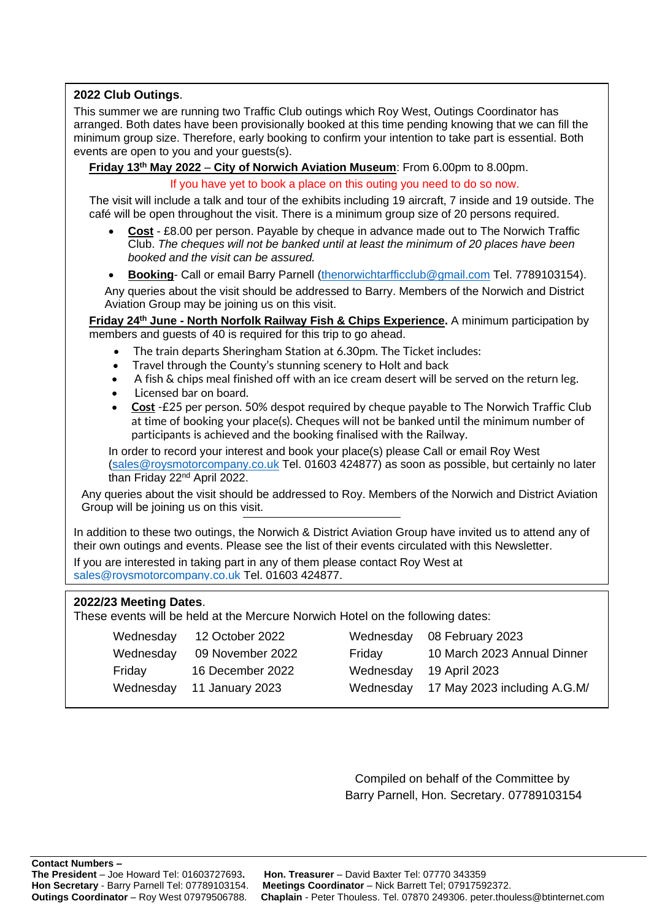#### **2022 Club Outings**.

This summer we are running two Traffic Club outings which Roy West, Outings Coordinator has arranged. Both dates have been provisionally booked at this time pending knowing that we can fill the minimum group size. Therefore, early booking to confirm your intention to take part is essential. Both events are open to you and your guests(s).

**Friday 13th May 2022** – **City of Norwich Aviation Museum**: From 6.00pm to 8.00pm.

If you have yet to book a place on this outing you need to do so now.

The visit will include a talk and tour of the exhibits including 19 aircraft, 7 inside and 19 outside. The café will be open throughout the visit. There is a minimum group size of 20 persons required.

- **Cost** £8.00 per person. Payable by cheque in advance made out to The Norwich Traffic Club. *The cheques will not be banked until at least the minimum of 20 places have been booked and the visit can be assured.*
- **Booking** Call or email Barry Parnell [\(thenorwichtarfficclub@gmail.com](mailto:thenorwichtarfficclub@gmail.com) Tel. 7789103154).

Any queries about the visit should be addressed to Barry. Members of the Norwich and District Aviation Group may be joining us on this visit.

**Friday 24th June - North Norfolk Railway Fish & Chips Experience.** A minimum participation by members and guests of 40 is required for this trip to go ahead.

- The train departs Sheringham Station at 6.30pm. The Ticket includes:
- Travel through the County's stunning scenery to Holt and back
- A fish & chips meal finished off with an ice cream desert will be served on the return leg.
- Licensed bar on board.
- **Cost** -£25 per person. 50% despot required by cheque payable to The Norwich Traffic Club at time of booking your place(s). Cheques will not be banked until the minimum number of participants is achieved and the booking finalised with the Railway.

In order to record your interest and book your place(s) please Call or email Roy West [\(sales@roysmotorcompany.co.uk](mailto:sales@roysmotorcompany.co.uk) Tel. 01603 424877) as soon as possible, but certainly no later than Friday 22<sup>nd</sup> April 2022.

Any queries about the visit should be addressed to Roy. Members of the Norwich and District Aviation Group will be joining us on this visit.

In addition to these two outings, the Norwich & District Aviation Group have invited us to attend any of their own outings and events. Please see the list of their events circulated with this Newsletter.

If you are interested in taking part in any of them please contact Roy West at [sales@roysmotorcompany.co.uk](mailto:sales@roysmotorcompany.co.uk) Tel. 01603 424877.

### **2022/23 Meeting Dates**.

These events will be held at the Mercure Norwich Hotel on the following dates:

|           | Wednesday 12 October 2022 | Wednesday | 08 February 2023                       |
|-----------|---------------------------|-----------|----------------------------------------|
| Wednesday | 09 November 2022          | Friday    | 10 March 2023 Annual Dinner            |
| Friday    | 16 December 2022          | Wednesday | 19 April 2023                          |
| Wednesday | 11 January 2023           |           | Wednesday 17 May 2023 including A.G.M/ |

Compiled on behalf of the Committee by Barry Parnell, Hon. Secretary. 07789103154

**Contact Numbers – The President** – Joe Howard Tel: 01603727693**. Hon. Treasurer** – David Baxter Tel: 07770 343359